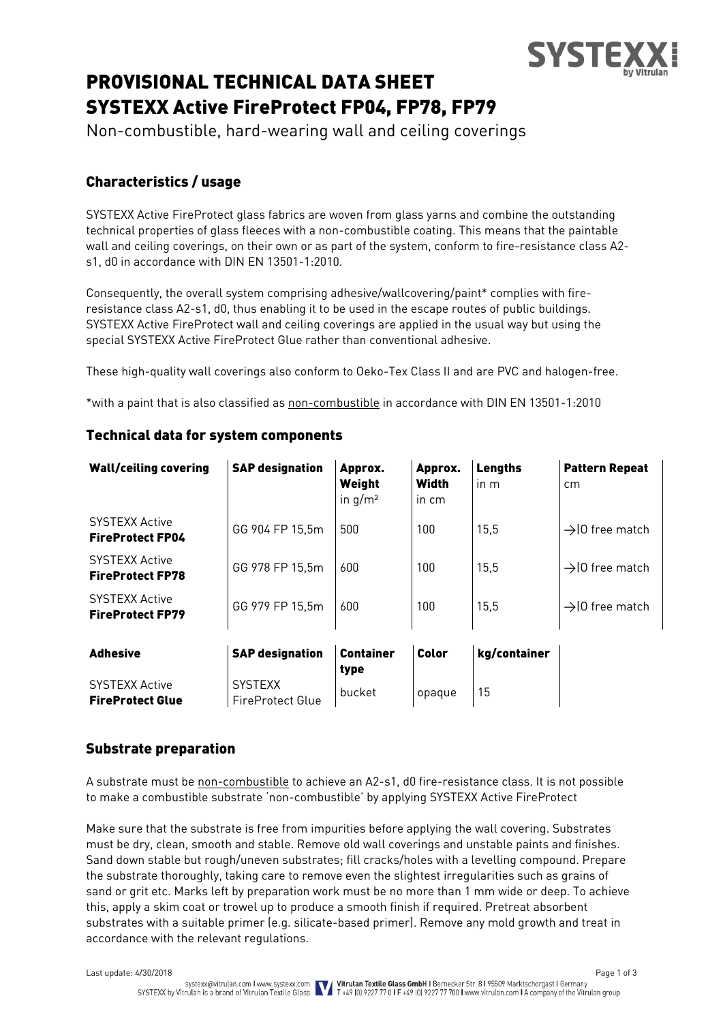

# PROVISIONAL TECHNICAL DATA SHEET SYSTEXX Active FireProtect FP04, FP78, FP79

Non-combustible, hard-wearing wall and ceiling coverings

# Characteristics / usage

SYSTEXX Active FireProtect glass fabrics are woven from glass yarns and combine the outstanding technical properties of glass fleeces with a non-combustible coating. This means that the paintable wall and ceiling coverings, on their own or as part of the system, conform to fire-resistance class A2 s1, d0 in accordance with DIN EN 13501-1:2010.

Consequently, the overall system comprising adhesive/wallcovering/paint\* complies with fireresistance class A2-s1, d0, thus enabling it to be used in the escape routes of public buildings. SYSTEXX Active FireProtect wall and ceiling coverings are applied in the usual way but using the special SYSTEXX Active FireProtect Glue rather than conventional adhesive.

These high-quality wall coverings also conform to Oeko-Tex Class II and are PVC and halogen-free.

\*with a paint that is also classified as non-combustible in accordance with DIN EN 13501-1:2010

| <b>Wall/ceiling covering</b>                     | <b>SAP designation</b>             | Approx.<br>Weight<br>in $q/m^2$ | Approx.<br>Width<br>in cm | <b>Lengths</b><br>in m | <b>Pattern Repeat</b><br>cm |
|--------------------------------------------------|------------------------------------|---------------------------------|---------------------------|------------------------|-----------------------------|
| <b>SYSTEXX Active</b><br><b>FireProtect FP04</b> | GG 904 FP 15,5m                    | 500                             | 100                       | 15,5                   | $\rightarrow$ 10 free match |
| <b>SYSTEXX Active</b><br><b>FireProtect FP78</b> | GG 978 FP 15,5m                    | 600                             | 100                       | 15,5                   | $\rightarrow$ 10 free match |
| <b>SYSTEXX Active</b><br><b>FireProtect FP79</b> | GG 979 FP 15,5m                    | 600                             | 100                       | 15,5                   | $\rightarrow$ 10 free match |
| <b>Adhesive</b>                                  | <b>SAP designation</b>             | <b>Container</b><br>type        | Color                     | kg/container           |                             |
| <b>SYSTEXX Active</b><br><b>FireProtect Glue</b> | <b>SYSTEXX</b><br>FireProtect Glue | bucket                          | opaque                    | 15                     |                             |

## Technical data for system components

## Substrate preparation

A substrate must be non-combustible to achieve an A2-s1, d0 fire-resistance class. It is not possible to make a combustible substrate 'non-combustible' by applying SYSTEXX Active FireProtect

Make sure that the substrate is free from impurities before applying the wall covering. Substrates must be dry, clean, smooth and stable. Remove old wall coverings and unstable paints and finishes. Sand down stable but rough/uneven substrates; fill cracks/holes with a levelling compound. Prepare the substrate thoroughly, taking care to remove even the slightest irregularities such as grains of sand or grit etc. Marks left by preparation work must be no more than 1 mm wide or deep. To achieve this, apply a skim coat or trowel up to produce a smooth finish if required. Pretreat absorbent substrates with a suitable primer (e.g. silicate-based primer). Remove any mold growth and treat in accordance with the relevant regulations.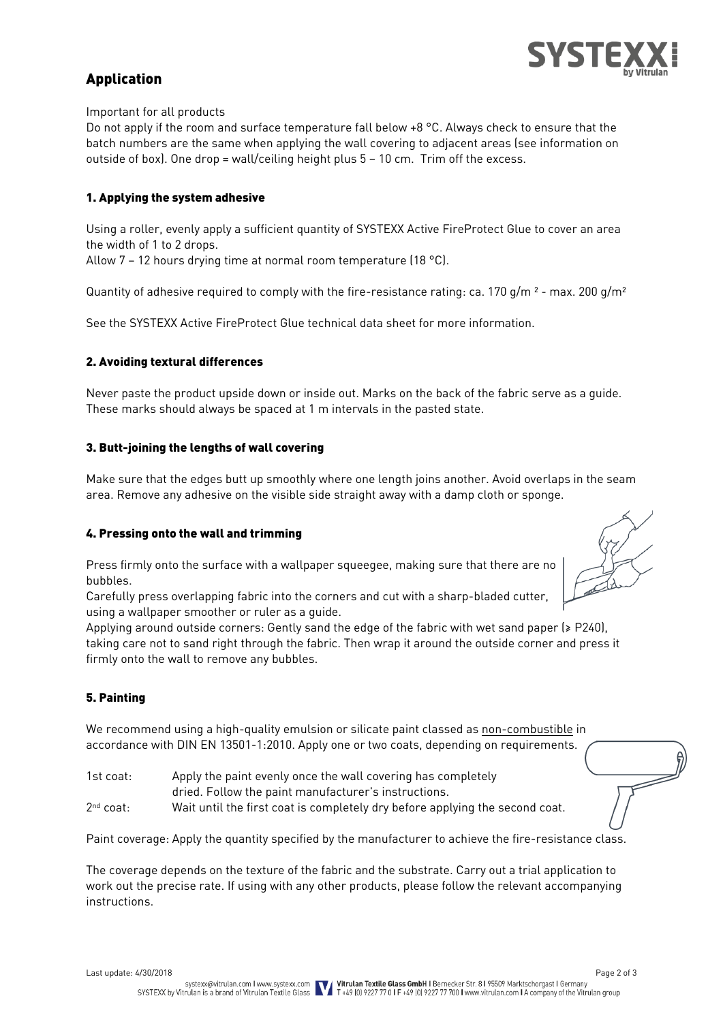

# Application

Important for all products

Do not apply if the room and surface temperature fall below +8 °C. Always check to ensure that the batch numbers are the same when applying the wall covering to adjacent areas (see information on outside of box). One drop = wall/ceiling height plus  $5 - 10$  cm. Trim off the excess.

#### 1. Applying the system adhesive

Using a roller, evenly apply a sufficient quantity of SYSTEXX Active FireProtect Glue to cover an area the width of 1 to 2 drops.

Allow 7 – 12 hours drying time at normal room temperature (18 °C).

Quantity of adhesive required to comply with the fire-resistance rating: ca. 170 g/m<sup>2</sup> - max. 200 g/m<sup>2</sup>

See the SYSTEXX Active FireProtect Glue technical data sheet for more information.

#### 2. Avoiding textural differences

Never paste the product upside down or inside out. Marks on the back of the fabric serve as a guide. These marks should always be spaced at 1 m intervals in the pasted state.

#### 3. Butt-joining the lengths of wall covering

Make sure that the edges butt up smoothly where one length joins another. Avoid overlaps in the seam area. Remove any adhesive on the visible side straight away with a damp cloth or sponge.

#### 4. Pressing onto the wall and trimming

Press firmly onto the surface with a wallpaper squeegee, making sure that there are no bubbles.

Carefully press overlapping fabric into the corners and cut with a sharp-bladed cutter, using a wallpaper smoother or ruler as a guide.



Applying around outside corners: Gently sand the edge of the fabric with wet sand paper (≥ P240), taking care not to sand right through the fabric. Then wrap it around the outside corner and press it firmly onto the wall to remove any bubbles.

#### 5. Painting

We recommend using a high-quality emulsion or silicate paint classed as non-combustible in accordance with DIN EN 13501-1:2010. Apply one or two coats, depending on requirements.

| 1st coat:   | Apply the paint evenly once the wall covering has completely                 |
|-------------|------------------------------------------------------------------------------|
|             | dried. Follow the paint manufacturer's instructions.                         |
| $2nd$ coat: | Wait until the first coat is completely dry before applying the second coat. |

Paint coverage: Apply the quantity specified by the manufacturer to achieve the fire-resistance class.

The coverage depends on the texture of the fabric and the substrate. Carry out a trial application to work out the precise rate. If using with any other products, please follow the relevant accompanying instructions.